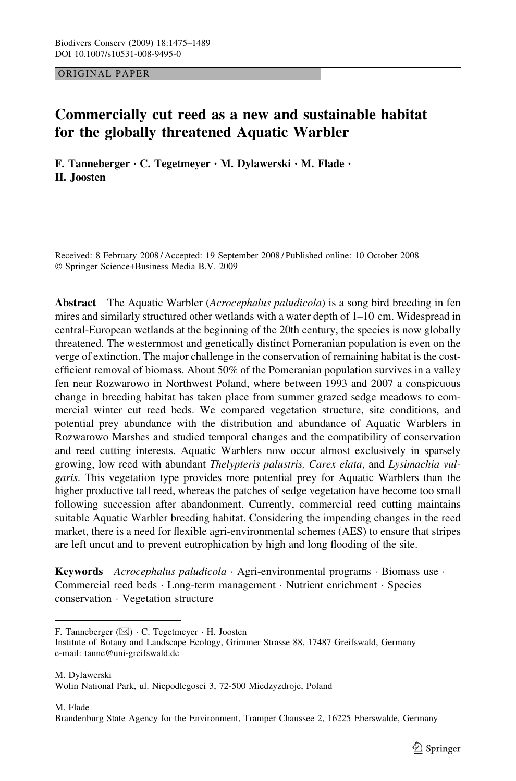ORIGINAL PAPER

# Commercially cut reed as a new and sustainable habitat for the globally threatened Aquatic Warbler

F. Tanneberger  $\cdot$  C. Tegetmeyer  $\cdot$  M. Dylawerski  $\cdot$  M. Flade  $\cdot$ H. Joosten

Received: 8 February 2008 / Accepted: 19 September 2008 / Published online: 10 October 2008 Springer Science+Business Media B.V. 2009

Abstract The Aquatic Warbler (Acrocephalus paludicola) is a song bird breeding in fen mires and similarly structured other wetlands with a water depth of 1–10 cm. Widespread in central-European wetlands at the beginning of the 20th century, the species is now globally threatened. The westernmost and genetically distinct Pomeranian population is even on the verge of extinction. The major challenge in the conservation of remaining habitat is the costefficient removal of biomass. About 50% of the Pomeranian population survives in a valley fen near Rozwarowo in Northwest Poland, where between 1993 and 2007 a conspicuous change in breeding habitat has taken place from summer grazed sedge meadows to commercial winter cut reed beds. We compared vegetation structure, site conditions, and potential prey abundance with the distribution and abundance of Aquatic Warblers in Rozwarowo Marshes and studied temporal changes and the compatibility of conservation and reed cutting interests. Aquatic Warblers now occur almost exclusively in sparsely growing, low reed with abundant Thelypteris palustris, Carex elata, and Lysimachia vulgaris. This vegetation type provides more potential prey for Aquatic Warblers than the higher productive tall reed, whereas the patches of sedge vegetation have become too small following succession after abandonment. Currently, commercial reed cutting maintains suitable Aquatic Warbler breeding habitat. Considering the impending changes in the reed market, there is a need for flexible agri-environmental schemes (AES) to ensure that stripes are left uncut and to prevent eutrophication by high and long flooding of the site.

**Keywords** Acrocephalus paludicola  $\cdot$  Agri-environmental programs  $\cdot$  Biomass use  $\cdot$ Commercial reed beds · Long-term management · Nutrient enrichment · Species conservation Vegetation structure

F. Tanneberger  $(\boxtimes) \cdot$  C. Tegetmeyer  $\cdot$  H. Joosten

Institute of Botany and Landscape Ecology, Grimmer Strasse 88, 17487 Greifswald, Germany e-mail: tanne@uni-greifswald.de

M. Dylawerski Wolin National Park, ul. Niepodlegosci 3, 72-500 Miedzyzdroje, Poland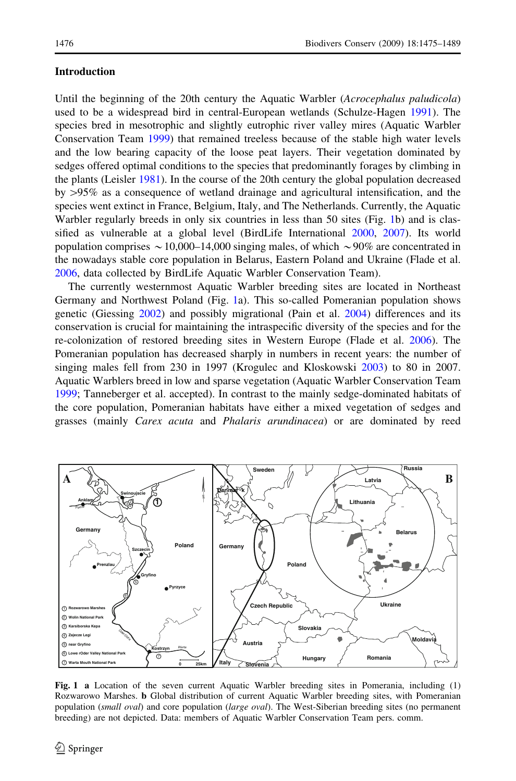## <span id="page-1-0"></span>Introduction

Until the beginning of the 20th century the Aquatic Warbler (Acrocephalus paludicola) used to be a widespread bird in central-European wetlands (Schulze-Hagen [1991](#page-13-0)). The species bred in mesotrophic and slightly eutrophic river valley mires (Aquatic Warbler Conservation Team [1999\)](#page-12-0) that remained treeless because of the stable high water levels and the low bearing capacity of the loose peat layers. Their vegetation dominated by sedges offered optimal conditions to the species that predominantly forages by climbing in the plants (Leisler [1981](#page-13-0)). In the course of the 20th century the global population decreased by [95% as a consequence of wetland drainage and agricultural intensification, and the species went extinct in France, Belgium, Italy, and The Netherlands. Currently, the Aquatic Warbler regularly breeds in only six countries in less than 50 sites (Fig. 1b) and is classified as vulnerable at a global level (BirdLife International [2000,](#page-12-0) [2007](#page-12-0)). Its world population comprises  $\sim 10,000-14,000$  singing males, of which  $\sim 90\%$  are concentrated in the nowadays stable core population in Belarus, Eastern Poland and Ukraine (Flade et al. [2006,](#page-12-0) data collected by BirdLife Aquatic Warbler Conservation Team).

The currently westernmost Aquatic Warbler breeding sites are located in Northeast Germany and Northwest Poland (Fig. 1a). This so-called Pomeranian population shows genetic (Giessing [2002](#page-12-0)) and possibly migrational (Pain et al. [2004\)](#page-13-0) differences and its conservation is crucial for maintaining the intraspecific diversity of the species and for the re-colonization of restored breeding sites in Western Europe (Flade et al. [2006\)](#page-12-0). The Pomeranian population has decreased sharply in numbers in recent years: the number of singing males fell from 230 in 1997 (Krogulec and Kloskowski [2003](#page-12-0)) to 80 in 2007. Aquatic Warblers breed in low and sparse vegetation (Aquatic Warbler Conservation Team [1999;](#page-12-0) Tanneberger et al. accepted). In contrast to the mainly sedge-dominated habitats of the core population, Pomeranian habitats have either a mixed vegetation of sedges and grasses (mainly Carex acuta and Phalaris arundinacea) or are dominated by reed



Fig. 1 a Location of the seven current Aquatic Warbler breeding sites in Pomerania, including (1) Rozwarowo Marshes. b Global distribution of current Aquatic Warbler breeding sites, with Pomeranian population (small oval) and core population (large oval). The West-Siberian breeding sites (no permanent breeding) are not depicted. Data: members of Aquatic Warbler Conservation Team pers. comm.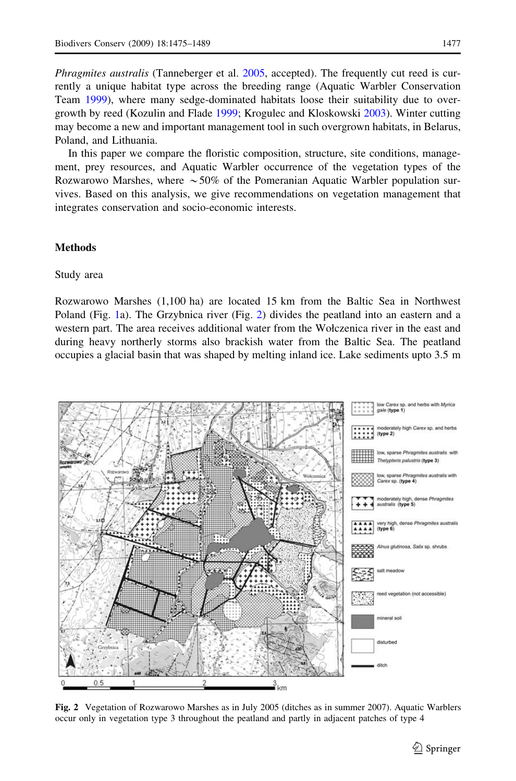<span id="page-2-0"></span>Phragmites australis (Tanneberger et al. [2005,](#page-13-0) accepted). The frequently cut reed is currently a unique habitat type across the breeding range (Aquatic Warbler Conservation Team [1999](#page-12-0)), where many sedge-dominated habitats loose their suitability due to overgrowth by reed (Kozulin and Flade [1999;](#page-12-0) Krogulec and Kloskowski [2003\)](#page-12-0). Winter cutting may become a new and important management tool in such overgrown habitats, in Belarus, Poland, and Lithuania.

In this paper we compare the floristic composition, structure, site conditions, management, prey resources, and Aquatic Warbler occurrence of the vegetation types of the Rozwarowo Marshes, where  $\sim$  50% of the Pomeranian Aquatic Warbler population survives. Based on this analysis, we give recommendations on vegetation management that integrates conservation and socio-economic interests.

## **Methods**

## Study area

Rozwarowo Marshes (1,100 ha) are located 15 km from the Baltic Sea in Northwest Poland (Fig. [1](#page-1-0)a). The Grzybnica river (Fig. 2) divides the peatland into an eastern and a western part. The area receives additional water from the Wołczenica river in the east and during heavy northerly storms also brackish water from the Baltic Sea. The peatland occupies a glacial basin that was shaped by melting inland ice. Lake sediments upto 3.5 m



Fig. 2 Vegetation of Rozwarowo Marshes as in July 2005 (ditches as in summer 2007). Aquatic Warblers occur only in vegetation type 3 throughout the peatland and partly in adjacent patches of type 4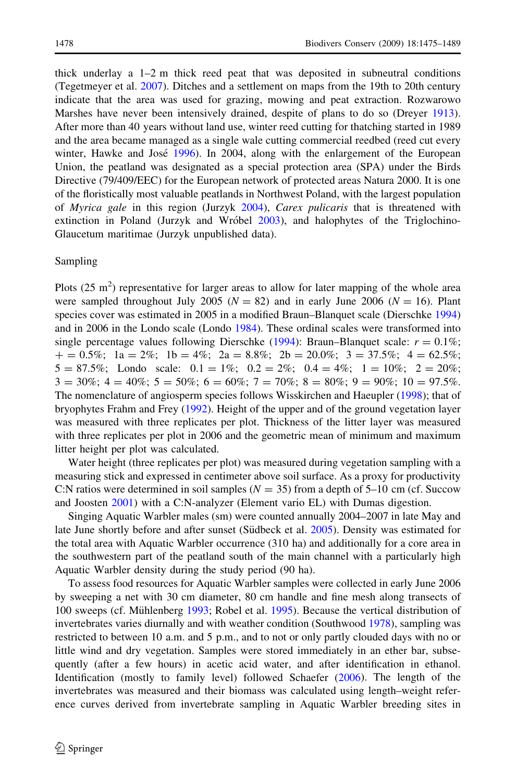thick underlay a  $1-2$  m thick reed peat that was deposited in subneutral conditions (Tegetmeyer et al. [2007\)](#page-14-0). Ditches and a settlement on maps from the 19th to 20th century indicate that the area was used for grazing, mowing and peat extraction. Rozwarowo Marshes have never been intensively drained, despite of plans to do so (Dreyer [1913](#page-12-0)). After more than 40 years without land use, winter reed cutting for thatching started in 1989 and the area became managed as a single wale cutting commercial reedbed (reed cut every winter, Hawke and José [1996](#page-12-0)). In 2004, along with the enlargement of the European Union, the peatland was designated as a special protection area (SPA) under the Birds Directive (79/409/EEC) for the European network of protected areas Natura 2000. It is one of the floristically most valuable peatlands in Northwest Poland, with the largest population of Myrica gale in this region (Jurzyk [2004\)](#page-12-0), Carex pulicaris that is threatened with extinction in Poland (Jurzyk and Wróbel  $2003$ ), and halophytes of the Triglochino-Glaucetum maritimae (Jurzyk unpublished data).

## Sampling

Plots (25  $\text{m}^2$ ) representative for larger areas to allow for later mapping of the whole area were sampled throughout July 2005 ( $N = 82$ ) and in early June 2006 ( $N = 16$ ). Plant species cover was estimated in 2005 in a modified Braun–Blanquet scale (Dierschke [1994](#page-12-0)) and in 2006 in the Londo scale (Londo [1984\)](#page-13-0). These ordinal scales were transformed into single percentage values following Dierschke ([1994\)](#page-12-0): Braun–Blanquet scale:  $r = 0.1\%$ ;  $+ = 0.5\%$ ; 1a = 2%; 1b = 4%; 2a = 8.8%; 2b = 20.0%; 3 = 37.5%; 4 = 62.5%;  $5 = 87.5\%$ ; Londo scale:  $0.1 = 1\%$ ;  $0.2 = 2\%$ ;  $0.4 = 4\%$ ;  $1 = 10\%$ ;  $2 = 20\%$ ;  $3 = 30\%$ ;  $4 = 40\%$ ;  $5 = 50\%$ ;  $6 = 60\%$ ;  $7 = 70\%$ ;  $8 = 80\%$ ;  $9 = 90\%$ ;  $10 = 97.5\%$ . The nomenclature of angiosperm species follows Wisskirchen and Haeupler [\(1998\)](#page-14-0); that of bryophytes Frahm and Frey ([1992\)](#page-12-0). Height of the upper and of the ground vegetation layer was measured with three replicates per plot. Thickness of the litter layer was measured with three replicates per plot in 2006 and the geometric mean of minimum and maximum litter height per plot was calculated.

Water height (three replicates per plot) was measured during vegetation sampling with a measuring stick and expressed in centimeter above soil surface. As a proxy for productivity C:N ratios were determined in soil samples ( $N = 35$ ) from a depth of 5–10 cm (cf. Succow and Joosten [2001](#page-13-0)) with a C:N-analyzer (Element vario EL) with Dumas digestion.

Singing Aquatic Warbler males (sm) were counted annually 2004–2007 in late May and late June shortly before and after sunset (Südbeck et al. [2005\)](#page-13-0). Density was estimated for the total area with Aquatic Warbler occurrence (310 ha) and additionally for a core area in the southwestern part of the peatland south of the main channel with a particularly high Aquatic Warbler density during the study period (90 ha).

To assess food resources for Aquatic Warbler samples were collected in early June 2006 by sweeping a net with 30 cm diameter, 80 cm handle and fine mesh along transects of 100 sweeps (cf. Mühlenberg [1993;](#page-13-0) Robel et al. [1995\)](#page-13-0). Because the vertical distribution of invertebrates varies diurnally and with weather condition (Southwood [1978\)](#page-13-0), sampling was restricted to between 10 a.m. and 5 p.m., and to not or only partly clouded days with no or little wind and dry vegetation. Samples were stored immediately in an ether bar, subsequently (after a few hours) in acetic acid water, and after identification in ethanol. Identification (mostly to family level) followed Schaefer [\(2006](#page-13-0)). The length of the invertebrates was measured and their biomass was calculated using length–weight reference curves derived from invertebrate sampling in Aquatic Warbler breeding sites in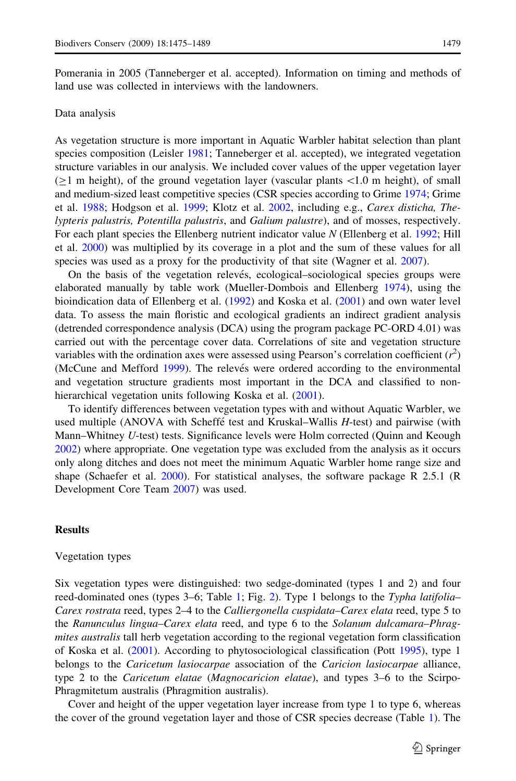Pomerania in 2005 (Tanneberger et al. accepted). Information on timing and methods of land use was collected in interviews with the landowners.

## Data analysis

As vegetation structure is more important in Aquatic Warbler habitat selection than plant species composition (Leisler [1981](#page-13-0); Tanneberger et al. accepted), we integrated vegetation structure variables in our analysis. We included cover values of the upper vegetation layer  $(>1$  m height), of the ground vegetation layer (vascular plants  $< 1.0$  m height), of small and medium-sized least competitive species (CSR species according to Grime [1974](#page-12-0); Grime et al. [1988;](#page-12-0) Hodgson et al. [1999;](#page-12-0) Klotz et al. [2002,](#page-12-0) including e.g., Carex disticha, Thelypteris palustris, Potentilla palustris, and Galium palustre), and of mosses, respectively. For each plant species the Ellenberg nutrient indicator value N (Ellenberg et al. [1992](#page-12-0); Hill et al. [2000\)](#page-12-0) was multiplied by its coverage in a plot and the sum of these values for all species was used as a proxy for the productivity of that site (Wagner et al. [2007](#page-14-0)).

On the basis of the vegetation relevés, ecological–sociological species groups were elaborated manually by table work (Mueller-Dombois and Ellenberg [1974\)](#page-13-0), using the bioindication data of Ellenberg et al. ([1992\)](#page-12-0) and Koska et al. [\(2001\)](#page-12-0) and own water level data. To assess the main floristic and ecological gradients an indirect gradient analysis (detrended correspondence analysis (DCA) using the program package PC-ORD 4.01) was carried out with the percentage cover data. Correlations of site and vegetation structure variables with the ordination axes were assessed using Pearson's correlation coefficient  $(r^2)$ (McCune and Mefford [1999\)](#page-13-0). The relevés were ordered according to the environmental and vegetation structure gradients most important in the DCA and classified to non-hierarchical vegetation units following Koska et al. [\(2001](#page-12-0)).

To identify differences between vegetation types with and without Aquatic Warbler, we used multiple (ANOVA with Scheffé test and Kruskal–Wallis  $H$ -test) and pairwise (with Mann–Whitney U-test) tests. Significance levels were Holm corrected (Quinn and Keough [2002\)](#page-13-0) where appropriate. One vegetation type was excluded from the analysis as it occurs only along ditches and does not meet the minimum Aquatic Warbler home range size and shape (Schaefer et al. [2000](#page-13-0)). For statistical analyses, the software package R 2.5.1 (R Development Core Team [2007](#page-13-0)) was used.

## **Results**

## Vegetation types

Six vegetation types were distinguished: two sedge-dominated (types 1 and 2) and four reed-dominated ones (types 3–6; Table [1;](#page-5-0) Fig. [2](#page-2-0)). Type 1 belongs to the Typha latifolia– Carex rostrata reed, types 2–4 to the Calliergonella cuspidata–Carex elata reed, type 5 to the Ranunculus lingua–Carex elata reed, and type 6 to the Solanum dulcamara–Phragmites australis tall herb vegetation according to the regional vegetation form classification of Koska et al. [\(2001\)](#page-12-0). According to phytosociological classification (Pott [1995](#page-13-0)), type 1 belongs to the *Caricetum lasiocarpae* association of the *Caricion lasiocarpae* alliance, type 2 to the *Caricetum elatae (Magnocaricion elatae)*, and types 3–6 to the Scirpo-Phragmitetum australis (Phragmition australis).

Cover and height of the upper vegetation layer increase from type 1 to type 6, whereas the cover of the ground vegetation layer and those of CSR species decrease (Table [1\)](#page-5-0). The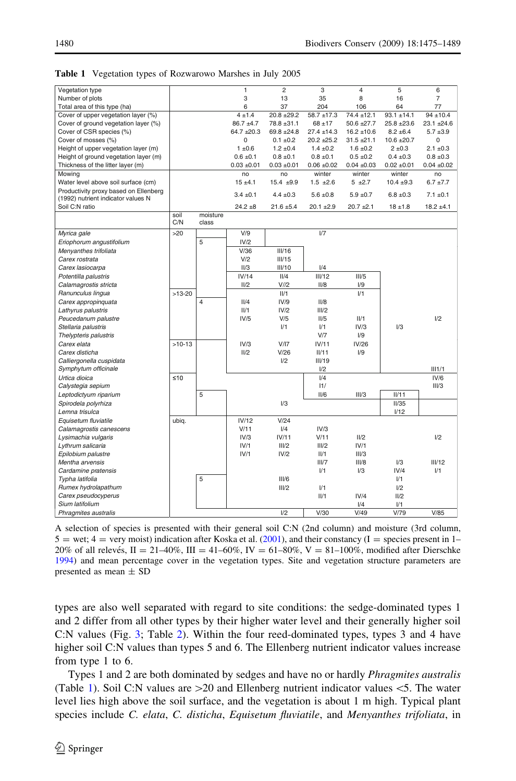| Vegetation type                       |             |                   | 1             | $\overline{c}$  | 3               | $\overline{4}$  | 5               | 6              |
|---------------------------------------|-------------|-------------------|---------------|-----------------|-----------------|-----------------|-----------------|----------------|
| Number of plots                       |             |                   | 3             | 13              | 35              | 8               | 16              | $\overline{7}$ |
| Total area of this type (ha)          |             |                   | 6             | 37              | 204             | 106             | 64              | 77             |
| Cover of upper vegetation layer (%)   |             |                   | $4 + 1.4$     | $20.8 + 29.2$   | $58.7 + 17.3$   | 74.4 ±12.1      | $93.1 \pm 14.1$ | $94 + 10.4$    |
| Cover of ground vegetation layer (%)  |             |                   | $86.7 + 4.7$  | $78.8 \pm 31.1$ | $68 + 17$       | 50.6 ±27.7      | $25.8 + 23.6$   | 23.1 ±24.6     |
| Cover of CSR species (%)              |             |                   | $64.7 + 20.3$ | $69.8 + 24.8$   | $27.4 \pm 14.3$ | $16.2 \pm 10.6$ | $8.2 \pm 6.4$   | $5.7 + 3.9$    |
| Cover of mosses (%)                   |             |                   | 0             | $0.1 \pm 0.2$   | $20.2 + 25.2$   | $31.5 + 21.1$   | $10.6 \pm 20.7$ | $\Omega$       |
| Height of upper vegetation layer (m)  |             |                   | 1 ± 0.6       | $1.2 \pm 0.4$   | $1.4 \pm 0.2$   | $1.6 \pm 0.2$   | 2 ± 0.3         | $2.1 \pm 0.3$  |
| Height of ground vegetation layer (m) |             |                   | $0.6 \pm 0.1$ | $0.8 \pm 0.1$   | $0.8 \pm 0.1$   | $0.5 \pm 0.2$   | $0.4 \pm 0.3$   | $0.8 \pm 0.3$  |
| Thickness of the litter layer (m)     |             |                   | $0.03 + 0.01$ | $0.03 + 0.01$   | $0.06 \pm 0.02$ | $0.04 \pm 0.03$ | $0.02 + 0.01$   | $0.04 + 0.02$  |
| Mowing                                |             |                   | no            | no              | winter          | winter          | winter          | no             |
| Water level above soil surface (cm)   |             |                   | $15 + 4.1$    | $15.4 + 9.9$    | $1.5 \pm 2.6$   | $5 + 2.7$       | $10.4 + 9.3$    | $6.7 + 7.7$    |
| Productivity proxy based on Ellenberg |             |                   |               |                 |                 |                 |                 |                |
| (1992) nutrient indicator values N    |             |                   | $3.4 \pm 0.1$ | $4.4 \pm 0.3$   | $5.6 \pm 0.8$   | $5.9 \pm 0.7$   | $6.8 \pm 0.3$   | $7.1 \pm 0.1$  |
| Soil C:N ratio                        |             |                   | $24.2 + 8$    | $21.6 + 5.4$    | $20.1 + 2.9$    | $20.7 + 2.1$    | $18 + 1.8$      | $18.2 \pm 4.1$ |
|                                       | soil<br>C/N | moisture<br>class |               |                 |                 |                 |                 |                |
| Myrica gale                           | >20         |                   | V/9           |                 | 1/7             |                 |                 |                |
| Eriophorum angustifolium              |             | 5                 | IV/2          |                 |                 |                 |                 |                |
| Menvanthes trifoliata                 |             |                   | V/36          | III/16          |                 |                 |                 |                |
| Carex rostrata                        |             |                   | V/2           | III/15          |                 |                 |                 |                |
| Carex lasiocarpa                      |             |                   | II/3          | III/10          | 1/4             |                 |                 |                |
| Potentilla palustris                  |             |                   | IV/14         | II/4            | III/12          | III/5           |                 |                |
| Calamagrostis stricta                 |             |                   | 11/2          | V/I2            | II/8            | 1/9             |                 |                |
| Ranunculus lingua                     | $>13-20$    |                   |               | II/1            |                 | 1/1             |                 |                |
| Carex appropinquata                   |             | 4                 | II/4          | IV/9            | II/8            |                 |                 |                |
| Lathyrus palustris                    |             |                   | II/1          | IV/2            | III/2           |                 |                 |                |
| Peucedanum palustre                   |             |                   | IV/5          | V/5             | II/5            | II/1            |                 | 1/2            |
| Stellaria palustris                   |             |                   |               | 1/1             | 1/1             | IV/3            | 1/3             |                |
| Thelypteris palustris                 |             |                   |               |                 | V/T             | 1/9             |                 |                |
| Carex elata                           | $>10-13$    |                   | IV/3          | V/I7            | IV/11           | IV/26           |                 |                |
| Carex disticha                        |             |                   | II/2          | V/26            | II/11           | 1/9             |                 |                |
| Calliergonella cuspidata              |             |                   |               | 1/2             | III/19          |                 |                 |                |
|                                       |             |                   |               |                 | 1/2             |                 |                 | III1/1         |
| Symphytum officinale<br>Urtica dioica | ≤10         |                   |               |                 | 1/4             |                 |                 | IV/6           |
|                                       |             |                   |               |                 |                 |                 |                 |                |
| Calystegia sepium                     |             |                   |               |                 | 11/             |                 |                 | III/3          |
| Leptodictyum riparium                 |             | 5                 |               |                 | II/6            | III/3           | II/11           |                |
| Spirodela polyrhiza                   |             |                   |               | 1/3             |                 |                 | II/35           |                |
| Lemna trisulca                        |             |                   |               |                 |                 |                 | 1/12            |                |
| Equisetum fluviatile                  | ubiq.       |                   | IV/12         | V/24            |                 |                 |                 |                |
| Calamagrostis canescens               |             |                   | V/11          | 1/4             | IV/3            |                 |                 |                |
| Lysimachia vulgaris                   |             |                   | IV/3          | IV/11           | V/11            | II/2            |                 | 1/2            |
| Lythrum salicaria                     |             |                   | IV/1          | III/2           | III/2           | IV/1            |                 |                |
| Epilobium palustre                    |             |                   | IV/1          | IV/2            | II/1            | III/3           |                 |                |
| Mentha arvensis                       |             |                   |               |                 | III/7           | III/8           | 1/3             | III/12         |
| Cardamine pratensis                   |             |                   |               |                 | 1/1             | 1/3             | IV/4            | 1/1            |
| Typha latifolia                       |             | 5                 |               | III/6           |                 |                 | 1/1             |                |
| Rumex hydrolapathum                   |             |                   |               | III/2           | 1/1             |                 | 1/2             |                |
| Carex pseudocyperus                   |             |                   |               |                 | II/1            | IV/4            | II/2            |                |
| Sium latifolium                       |             |                   |               |                 |                 | 1/4             | 1/1             |                |
| Phragmites australis                  |             |                   |               | 1/2             | V/30            | V/49            | V/79            | V/85           |

<span id="page-5-0"></span>Table 1 Vegetation types of Rozwarowo Marshes in July 2005

A selection of species is presented with their general soil C:N (2nd column) and moisture (3rd column,  $5 =$  wet;  $4 =$  very moist) indication after Koska et al. ([2001\)](#page-12-0), and their constancy (I = species present in 1– 20% of all relevés, II = 21–40%, III = 41–60%, IV = 61–80%, V = 81–100%, modified after Dierschke [1994\)](#page-12-0) and mean percentage cover in the vegetation types. Site and vegetation structure parameters are presented as mean  $\pm$  SD

types are also well separated with regard to site conditions: the sedge-dominated types 1 and 2 differ from all other types by their higher water level and their generally higher soil C:N values (Fig. [3;](#page-6-0) Table [2](#page-6-0)). Within the four reed-dominated types, types 3 and 4 have higher soil C:N values than types 5 and 6. The Ellenberg nutrient indicator values increase from type 1 to 6.

Types 1 and 2 are both dominated by sedges and have no or hardly Phragmites australis (Table 1). Soil C:N values are  $>20$  and Ellenberg nutrient indicator values  $<$ 5. The water level lies high above the soil surface, and the vegetation is about 1 m high. Typical plant species include C. elata, C. disticha, Equisetum fluviatile, and Menyanthes trifoliata, in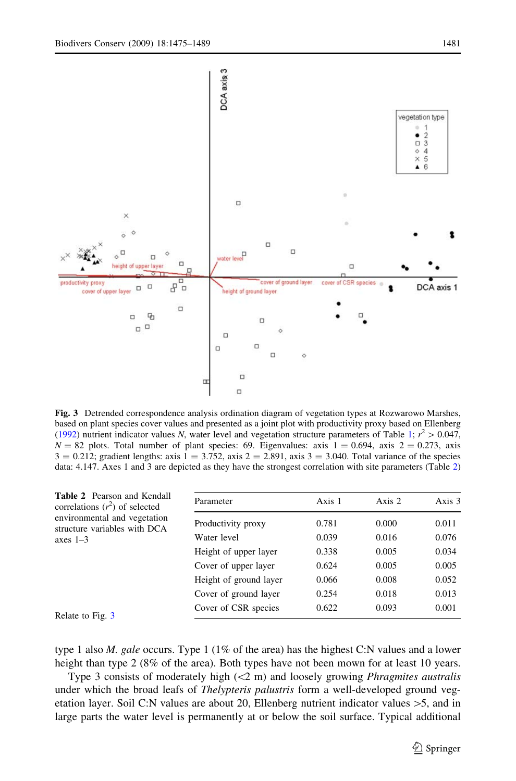<span id="page-6-0"></span>

Fig. 3 Detrended correspondence analysis ordination diagram of vegetation types at Rozwarowo Marshes, based on plant species cover values and presented as a joint plot with productivity proxy based on Ellenberg [\(1992](#page-12-0)) nutrient indicator values N, water level and vegetation structure parameters of Table [1](#page-5-0);  $r^2 > 0.047$ ,  $N = 82$  plots. Total number of plant species: 69. Eigenvalues: axis  $1 = 0.694$ , axis  $2 = 0.273$ , axis  $3 = 0.212$ ; gradient lengths: axis  $1 = 3.752$ , axis  $2 = 2.891$ , axis  $3 = 3.040$ . Total variance of the species data: 4.147. Axes 1 and 3 are depicted as they have the strongest correlation with site parameters (Table 2)

| <b>Table 2</b> Pearson and Kendall<br>correlations $(r^2)$ of selected | Parameter              | Axis 1 | Axis 2 | Axis 3 |
|------------------------------------------------------------------------|------------------------|--------|--------|--------|
| environmental and vegetation<br>structure variables with DCA           | Productivity proxy     | 0.781  | 0.000  | 0.011  |
| axes $1-3$                                                             | Water level            | 0.039  | 0.016  | 0.076  |
|                                                                        | Height of upper layer  | 0.338  | 0.005  | 0.034  |
|                                                                        | Cover of upper layer   | 0.624  | 0.005  | 0.005  |
|                                                                        | Height of ground layer | 0.066  | 0.008  | 0.052  |
|                                                                        | Cover of ground layer  | 0.254  | 0.018  | 0.013  |
| Relate to Fig. 3                                                       | Cover of CSR species   | 0.622  | 0.093  | 0.001  |
|                                                                        |                        |        |        |        |

type 1 also *M. gale* occurs. Type 1 (1% of the area) has the highest C:N values and a lower height than type 2 (8% of the area). Both types have not been mown for at least 10 years.

Type 3 consists of moderately high  $(\leq 2 \text{ m})$  and loosely growing *Phragmites australis* under which the broad leafs of *Thelypteris palustris* form a well-developed ground vegetation layer. Soil C:N values are about 20, Ellenberg nutrient indicator values  $>5$ , and in large parts the water level is permanently at or below the soil surface. Typical additional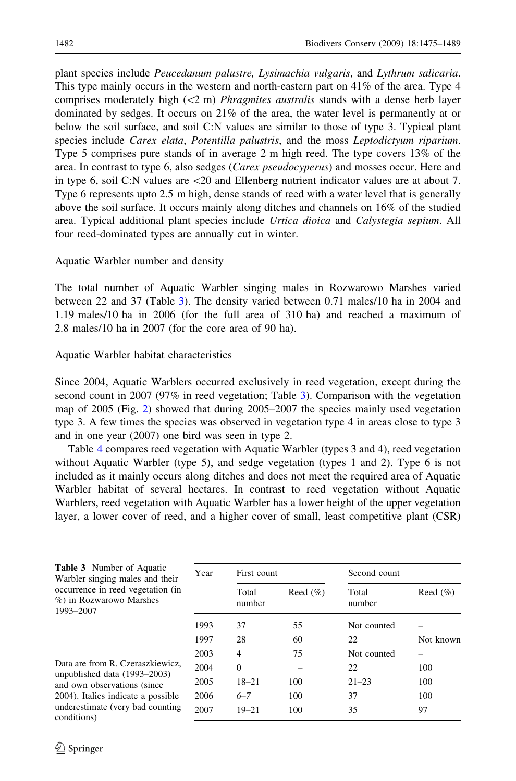<span id="page-7-0"></span>plant species include Peucedanum palustre, Lysimachia vulgaris, and Lythrum salicaria. This type mainly occurs in the western and north-eastern part on 41% of the area. Type 4 comprises moderately high  $(\leq 2$  m) *Phragmites australis* stands with a dense herb layer dominated by sedges. It occurs on 21% of the area, the water level is permanently at or below the soil surface, and soil C:N values are similar to those of type 3. Typical plant species include Carex elata, Potentilla palustris, and the moss Leptodictyum riparium. Type 5 comprises pure stands of in average 2 m high reed. The type covers 13% of the area. In contrast to type 6, also sedges (Carex pseudocyperus) and mosses occur. Here and in type 6, soil C:N values are\20 and Ellenberg nutrient indicator values are at about 7. Type 6 represents upto 2.5 m high, dense stands of reed with a water level that is generally above the soil surface. It occurs mainly along ditches and channels on 16% of the studied area. Typical additional plant species include Urtica dioica and Calystegia sepium. All four reed-dominated types are annually cut in winter.

## Aquatic Warbler number and density

The total number of Aquatic Warbler singing males in Rozwarowo Marshes varied between 22 and 37 (Table 3). The density varied between 0.71 males/10 ha in 2004 and 1.19 males/10 ha in 2006 (for the full area of 310 ha) and reached a maximum of 2.8 males/10 ha in 2007 (for the core area of 90 ha).

## Aquatic Warbler habitat characteristics

Since 2004, Aquatic Warblers occurred exclusively in reed vegetation, except during the second count in 2007 (97% in reed vegetation; Table 3). Comparison with the vegetation map of 2005 (Fig. [2](#page-2-0)) showed that during 2005–2007 the species mainly used vegetation type 3. A few times the species was observed in vegetation type 4 in areas close to type 3 and in one year (2007) one bird was seen in type 2.

Table [4](#page-8-0) compares reed vegetation with Aquatic Warbler (types 3 and 4), reed vegetation without Aquatic Warbler (type 5), and sedge vegetation (types 1 and 2). Type 6 is not included as it mainly occurs along ditches and does not meet the required area of Aquatic Warbler habitat of several hectares. In contrast to reed vegetation without Aquatic Warblers, reed vegetation with Aquatic Warbler has a lower height of the upper vegetation layer, a lower cover of reed, and a higher cover of small, least competitive plant (CSR)

| <b>Table 3</b> Number of Aquatic<br>Warbler singing males and their                                                                                                                       | Year | First count     |              | Second count    |              |  |
|-------------------------------------------------------------------------------------------------------------------------------------------------------------------------------------------|------|-----------------|--------------|-----------------|--------------|--|
| occurrence in reed vegetation (in<br>%) in Rozwarowo Marshes<br>1993-2007                                                                                                                 |      | Total<br>number | Reed $(\% )$ | Total<br>number | Reed $(\% )$ |  |
|                                                                                                                                                                                           | 1993 | 37              | 55           | Not counted     |              |  |
|                                                                                                                                                                                           | 1997 | 28              | 60           | 22              | Not known    |  |
| Data are from R. Czeraszkiewicz,<br>unpublished data (1993–2003)<br>and own observations (since<br>2004). Italics indicate a possible<br>underestimate (very bad counting)<br>conditions) | 2003 | 4               | 75           | Not counted     |              |  |
|                                                                                                                                                                                           | 2004 | $\Omega$        |              | 22              | 100          |  |
|                                                                                                                                                                                           | 2005 | $18 - 21$       | 100          | $21 - 23$       | 100          |  |
|                                                                                                                                                                                           | 2006 | $6 - 7$         | 100          | 37              | 100          |  |
|                                                                                                                                                                                           | 2007 | $19 - 21$       | 100          | 35              | 97           |  |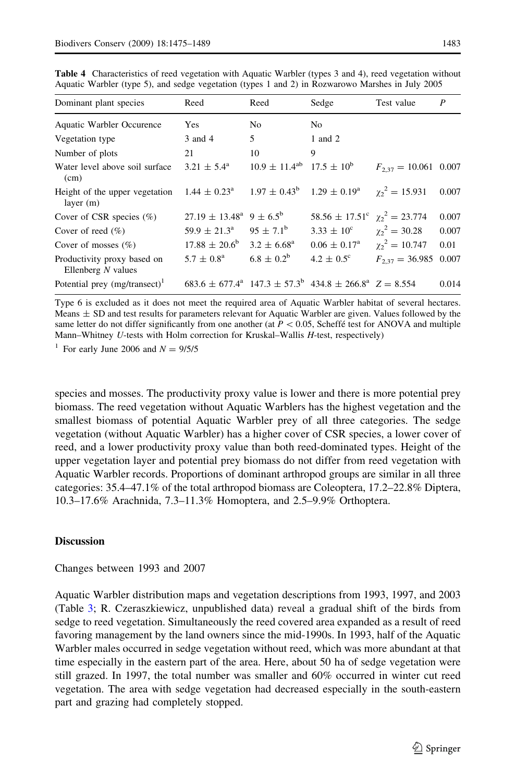| Dominant plant species                              | Reed                                                  | Reed                                   | Sedge                                                                                         | Test value                | P     |
|-----------------------------------------------------|-------------------------------------------------------|----------------------------------------|-----------------------------------------------------------------------------------------------|---------------------------|-------|
| Aquatic Warbler Occurence                           | Yes                                                   | N <sub>o</sub>                         | No.                                                                                           |                           |       |
| Vegetation type                                     | 3 and 4                                               | 5                                      | 1 and 2                                                                                       |                           |       |
| Number of plots                                     | 21                                                    | 10                                     | 9                                                                                             |                           |       |
| Water level above soil surface<br>(cm)              | $3.21 \pm 5.4^{\circ}$                                | $10.9 \pm 11.4^{ab}$ 17.5 $\pm 10^{b}$ |                                                                                               | $F_{2,37} = 10.061$ 0.007 |       |
| Height of the upper vegetation<br>layer $(m)$       |                                                       |                                        | $1.44 \pm 0.23^{\circ}$ $1.97 \pm 0.43^{\circ}$ $1.29 \pm 0.19^{\circ}$ $\gamma_2^2 = 15.931$ |                           | 0.007 |
| Cover of CSR species $(\%)$                         | $27.19 \pm 13.48^{\text{a}}$ 9 $\pm$ 6.5 <sup>b</sup> |                                        | $58.56 \pm 17.51^{\circ}$ $\chi_2^2 = 23.774$                                                 |                           | 0.007 |
| Cover of reed $(\% )$                               | $59.9 \pm 21.3^{\circ}$                               | $95 \pm 7.1^{\rm b}$                   | $3.33 \pm 10^{\circ}$                                                                         | $\chi_2^2 = 30.28$        | 0.007 |
| Cover of mosses $(\% )$                             | $17.88 \pm 20.6^{\rm b}$                              | $3.2 \pm 6.68^{\rm a}$                 | $0.06 \pm 0.17^{\rm a}$                                                                       | $\gamma_2^2 = 10.747$     | 0.01  |
| Productivity proxy based on<br>Ellenberg $N$ values | $5.7 \pm 0.8^{\rm a}$                                 | $6.8 \pm 0.2^b$                        | $4.2 \pm 0.5^{\circ}$                                                                         | $F_{2,37} = 36.985$       | 0.007 |
| Potential prey $(mg/transect)^1$                    |                                                       |                                        | $683.6 \pm 677.4^a$ 147.3 $\pm$ 57.3 <sup>b</sup> 434.8 $\pm$ 266.8 <sup>a</sup> Z = 8.554    |                           | 0.014 |

<span id="page-8-0"></span>Table 4 Characteristics of reed vegetation with Aquatic Warbler (types 3 and 4), reed vegetation without Aquatic Warbler (type 5), and sedge vegetation (types 1 and 2) in Rozwarowo Marshes in July 2005

Type 6 is excluded as it does not meet the required area of Aquatic Warbler habitat of several hectares.  $Meares \pm SD$  and test results for parameters relevant for Aquatic Warbler are given. Values followed by the same letter do not differ significantly from one another (at  $P \le 0.05$ , Scheffe´ test for ANOVA and multiple Mann–Whitney U-tests with Holm correction for Kruskal–Wallis H-test, respectively)

<sup>1</sup> For early June 2006 and  $N = 9/5/5$ 

species and mosses. The productivity proxy value is lower and there is more potential prey biomass. The reed vegetation without Aquatic Warblers has the highest vegetation and the smallest biomass of potential Aquatic Warbler prey of all three categories. The sedge vegetation (without Aquatic Warbler) has a higher cover of CSR species, a lower cover of reed, and a lower productivity proxy value than both reed-dominated types. Height of the upper vegetation layer and potential prey biomass do not differ from reed vegetation with Aquatic Warbler records. Proportions of dominant arthropod groups are similar in all three categories: 35.4–47.1% of the total arthropod biomass are Coleoptera, 17.2–22.8% Diptera, 10.3–17.6% Arachnida, 7.3–11.3% Homoptera, and 2.5–9.9% Orthoptera.

## **Discussion**

#### Changes between 1993 and 2007

Aquatic Warbler distribution maps and vegetation descriptions from 1993, 1997, and 2003 (Table [3](#page-7-0); R. Czeraszkiewicz, unpublished data) reveal a gradual shift of the birds from sedge to reed vegetation. Simultaneously the reed covered area expanded as a result of reed favoring management by the land owners since the mid-1990s. In 1993, half of the Aquatic Warbler males occurred in sedge vegetation without reed, which was more abundant at that time especially in the eastern part of the area. Here, about 50 ha of sedge vegetation were still grazed. In 1997, the total number was smaller and 60% occurred in winter cut reed vegetation. The area with sedge vegetation had decreased especially in the south-eastern part and grazing had completely stopped.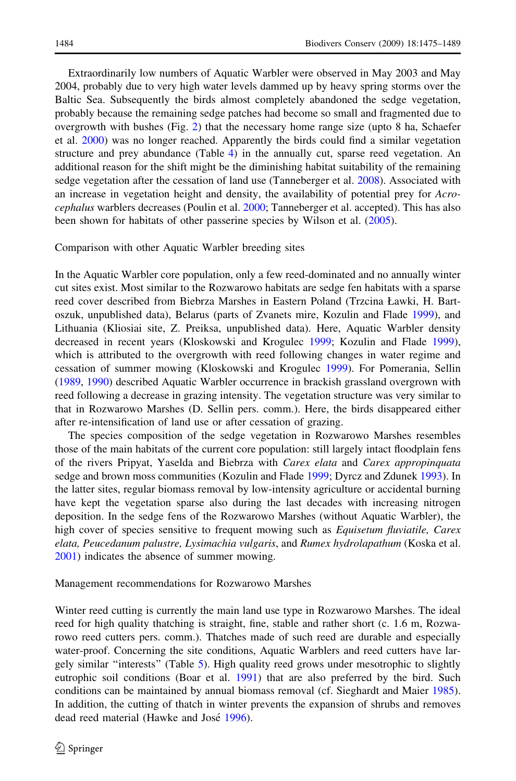Extraordinarily low numbers of Aquatic Warbler were observed in May 2003 and May 2004, probably due to very high water levels dammed up by heavy spring storms over the Baltic Sea. Subsequently the birds almost completely abandoned the sedge vegetation, probably because the remaining sedge patches had become so small and fragmented due to overgrowth with bushes (Fig. [2\)](#page-2-0) that the necessary home range size (upto 8 ha, Schaefer et al. [2000\)](#page-13-0) was no longer reached. Apparently the birds could find a similar vegetation structure and prey abundance (Table [4](#page-8-0)) in the annually cut, sparse reed vegetation. An additional reason for the shift might be the diminishing habitat suitability of the remaining sedge vegetation after the cessation of land use (Tanneberger et al. [2008](#page-13-0)). Associated with an increase in vegetation height and density, the availability of potential prey for Acrocephalus warblers decreases (Poulin et al. [2000](#page-13-0); Tanneberger et al. accepted). This has also been shown for habitats of other passerine species by Wilson et al. ([2005\)](#page-14-0).

#### Comparison with other Aquatic Warbler breeding sites

In the Aquatic Warbler core population, only a few reed-dominated and no annually winter cut sites exist. Most similar to the Rozwarowo habitats are sedge fen habitats with a sparse reed cover described from Biebrza Marshes in Eastern Poland (Trzcina Ławki, H. Bartoszuk, unpublished data), Belarus (parts of Zvanets mire, Kozulin and Flade [1999\)](#page-12-0), and Lithuania (Kliosiai site, Z. Preiksa, unpublished data). Here, Aquatic Warbler density decreased in recent years (Kloskowski and Krogulec [1999](#page-12-0); Kozulin and Flade [1999](#page-12-0)), which is attributed to the overgrowth with reed following changes in water regime and cessation of summer mowing (Kloskowski and Krogulec [1999](#page-12-0)). For Pomerania, Sellin ([1989,](#page-13-0) [1990\)](#page-13-0) described Aquatic Warbler occurrence in brackish grassland overgrown with reed following a decrease in grazing intensity. The vegetation structure was very similar to that in Rozwarowo Marshes (D. Sellin pers. comm.). Here, the birds disappeared either after re-intensification of land use or after cessation of grazing.

The species composition of the sedge vegetation in Rozwarowo Marshes resembles those of the main habitats of the current core population: still largely intact floodplain fens of the rivers Pripyat, Yaselda and Biebrza with Carex elata and Carex appropinquata sedge and brown moss communities (Kozulin and Flade [1999](#page-12-0); Dyrcz and Zdunek [1993\)](#page-12-0). In the latter sites, regular biomass removal by low-intensity agriculture or accidental burning have kept the vegetation sparse also during the last decades with increasing nitrogen deposition. In the sedge fens of the Rozwarowo Marshes (without Aquatic Warbler), the high cover of species sensitive to frequent mowing such as *Equisetum fluviatile, Carex* elata, Peucedanum palustre, Lysimachia vulgaris, and Rumex hydrolapathum (Koska et al. [2001\)](#page-12-0) indicates the absence of summer mowing.

#### Management recommendations for Rozwarowo Marshes

Winter reed cutting is currently the main land use type in Rozwarowo Marshes. The ideal reed for high quality thatching is straight, fine, stable and rather short (c. 1.6 m, Rozwarowo reed cutters pers. comm.). Thatches made of such reed are durable and especially water-proof. Concerning the site conditions, Aquatic Warblers and reed cutters have largely similar ''interests'' (Table [5](#page-10-0)). High quality reed grows under mesotrophic to slightly eutrophic soil conditions (Boar et al. [1991\)](#page-12-0) that are also preferred by the bird. Such conditions can be maintained by annual biomass removal (cf. Sieghardt and Maier [1985](#page-13-0)). In addition, the cutting of thatch in winter prevents the expansion of shrubs and removes dead reed material (Hawke and José [1996](#page-12-0)).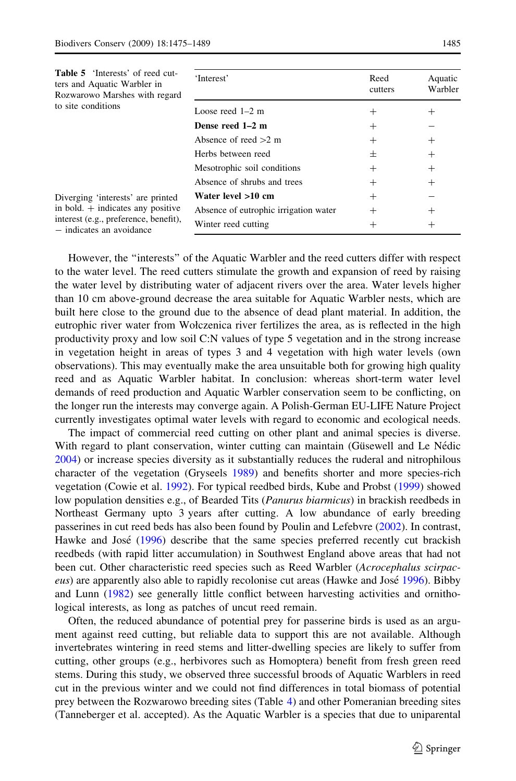<span id="page-10-0"></span>

| <b>Table 5</b> 'Interests' of reed cut-<br>ters and Aquatic Warbler in<br>Rozwarowo Marshes with regard<br>to site conditions                 | 'Interest'                            | Reed<br>cutters | Aquatic<br>Warbler |
|-----------------------------------------------------------------------------------------------------------------------------------------------|---------------------------------------|-----------------|--------------------|
|                                                                                                                                               | Loose reed $1-2$ m                    | $\pm$           | $\pm$              |
|                                                                                                                                               | Dense reed 1-2 m                      | $\pm$           |                    |
|                                                                                                                                               | Absence of reed $>2$ m                | $\pm$           | $\hspace{0.1mm} +$ |
|                                                                                                                                               | Herbs between reed                    | 土               | $^{+}$             |
|                                                                                                                                               | Mesotrophic soil conditions           | $\pm$           | $^{+}$             |
|                                                                                                                                               | Absence of shrubs and trees           | $^{+}$          | $^{+}$             |
| Diverging 'interests' are printed<br>in bold. $+$ indicates any positive<br>interest (e.g., preference, benefit),<br>- indicates an avoidance | Water level >10 cm                    | $\pm$           |                    |
|                                                                                                                                               | Absence of eutrophic irrigation water | $^+$            | $^{+}$             |
|                                                                                                                                               | Winter reed cutting                   |                 | $\pm$              |
|                                                                                                                                               |                                       |                 |                    |

However, the ''interests'' of the Aquatic Warbler and the reed cutters differ with respect to the water level. The reed cutters stimulate the growth and expansion of reed by raising the water level by distributing water of adjacent rivers over the area. Water levels higher than 10 cm above-ground decrease the area suitable for Aquatic Warbler nests, which are built here close to the ground due to the absence of dead plant material. In addition, the eutrophic river water from Wołczenica river fertilizes the area, as is reflected in the high productivity proxy and low soil C:N values of type 5 vegetation and in the strong increase in vegetation height in areas of types 3 and 4 vegetation with high water levels (own observations). This may eventually make the area unsuitable both for growing high quality reed and as Aquatic Warbler habitat. In conclusion: whereas short-term water level demands of reed production and Aquatic Warbler conservation seem to be conflicting, on the longer run the interests may converge again. A Polish-German EU-LIFE Nature Project currently investigates optimal water levels with regard to economic and ecological needs.

The impact of commercial reed cutting on other plant and animal species is diverse. With regard to plant conservation, winter cutting can maintain (Güsewell and Le Nédic [2004\)](#page-12-0) or increase species diversity as it substantially reduces the ruderal and nitrophilous character of the vegetation (Gryseels [1989\)](#page-12-0) and benefits shorter and more species-rich vegetation (Cowie et al. [1992](#page-12-0)). For typical reedbed birds, Kube and Probst ([1999\)](#page-13-0) showed low population densities e.g., of Bearded Tits (Panurus biarmicus) in brackish reedbeds in Northeast Germany upto 3 years after cutting. A low abundance of early breeding passerines in cut reed beds has also been found by Poulin and Lefebvre [\(2002\)](#page-13-0). In contrast, Hawke and José [\(1996](#page-12-0)) describe that the same species preferred recently cut brackish reedbeds (with rapid litter accumulation) in Southwest England above areas that had not been cut. Other characteristic reed species such as Reed Warbler (Acrocephalus scirpac-eus) are apparently also able to rapidly recolonise cut areas (Hawke and José [1996](#page-12-0)). Bibby and Lunn ([1982](#page-12-0)) see generally little conflict between harvesting activities and ornithological interests, as long as patches of uncut reed remain.

Often, the reduced abundance of potential prey for passerine birds is used as an argument against reed cutting, but reliable data to support this are not available. Although invertebrates wintering in reed stems and litter-dwelling species are likely to suffer from cutting, other groups (e.g., herbivores such as Homoptera) benefit from fresh green reed stems. During this study, we observed three successful broods of Aquatic Warblers in reed cut in the previous winter and we could not find differences in total biomass of potential prey between the Rozwarowo breeding sites (Table [4](#page-8-0)) and other Pomeranian breeding sites (Tanneberger et al. accepted). As the Aquatic Warbler is a species that due to uniparental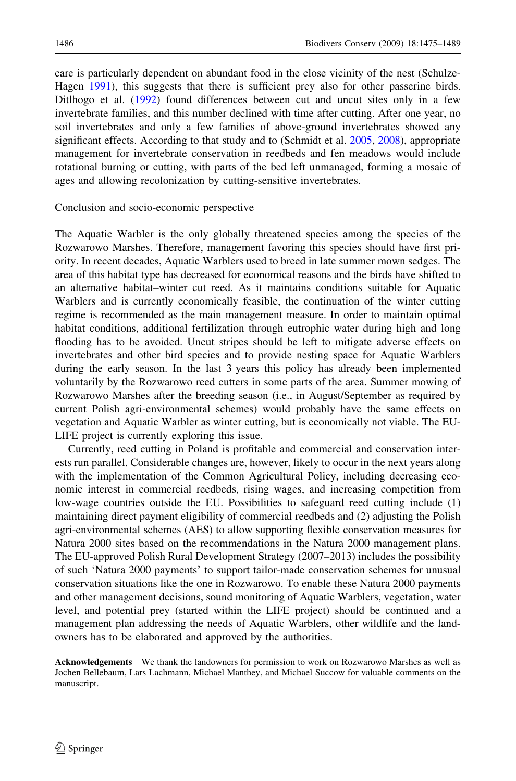care is particularly dependent on abundant food in the close vicinity of the nest (Schulze-Hagen [1991\)](#page-13-0), this suggests that there is sufficient prey also for other passerine birds. Ditlhogo et al. ([1992](#page-12-0)) found differences between cut and uncut sites only in a few invertebrate families, and this number declined with time after cutting. After one year, no soil invertebrates and only a few families of above-ground invertebrates showed any significant effects. According to that study and to (Schmidt et al. [2005](#page-13-0), [2008](#page-13-0)), appropriate management for invertebrate conservation in reedbeds and fen meadows would include rotational burning or cutting, with parts of the bed left unmanaged, forming a mosaic of ages and allowing recolonization by cutting-sensitive invertebrates.

#### Conclusion and socio-economic perspective

The Aquatic Warbler is the only globally threatened species among the species of the Rozwarowo Marshes. Therefore, management favoring this species should have first priority. In recent decades, Aquatic Warblers used to breed in late summer mown sedges. The area of this habitat type has decreased for economical reasons and the birds have shifted to an alternative habitat–winter cut reed. As it maintains conditions suitable for Aquatic Warblers and is currently economically feasible, the continuation of the winter cutting regime is recommended as the main management measure. In order to maintain optimal habitat conditions, additional fertilization through eutrophic water during high and long flooding has to be avoided. Uncut stripes should be left to mitigate adverse effects on invertebrates and other bird species and to provide nesting space for Aquatic Warblers during the early season. In the last 3 years this policy has already been implemented voluntarily by the Rozwarowo reed cutters in some parts of the area. Summer mowing of Rozwarowo Marshes after the breeding season (i.e., in August/September as required by current Polish agri-environmental schemes) would probably have the same effects on vegetation and Aquatic Warbler as winter cutting, but is economically not viable. The EU-LIFE project is currently exploring this issue.

Currently, reed cutting in Poland is profitable and commercial and conservation interests run parallel. Considerable changes are, however, likely to occur in the next years along with the implementation of the Common Agricultural Policy, including decreasing economic interest in commercial reedbeds, rising wages, and increasing competition from low-wage countries outside the EU. Possibilities to safeguard reed cutting include (1) maintaining direct payment eligibility of commercial reedbeds and (2) adjusting the Polish agri-environmental schemes (AES) to allow supporting flexible conservation measures for Natura 2000 sites based on the recommendations in the Natura 2000 management plans. The EU-approved Polish Rural Development Strategy (2007–2013) includes the possibility of such 'Natura 2000 payments' to support tailor-made conservation schemes for unusual conservation situations like the one in Rozwarowo. To enable these Natura 2000 payments and other management decisions, sound monitoring of Aquatic Warblers, vegetation, water level, and potential prey (started within the LIFE project) should be continued and a management plan addressing the needs of Aquatic Warblers, other wildlife and the landowners has to be elaborated and approved by the authorities.

Acknowledgements We thank the landowners for permission to work on Rozwarowo Marshes as well as Jochen Bellebaum, Lars Lachmann, Michael Manthey, and Michael Succow for valuable comments on the manuscript.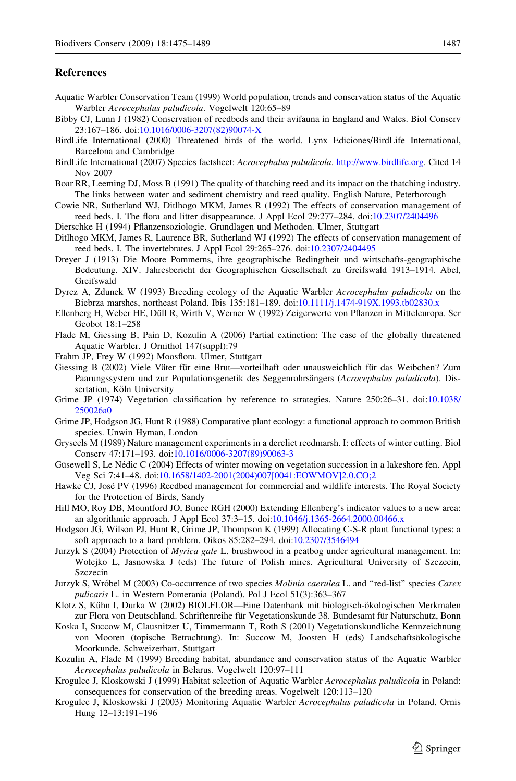#### <span id="page-12-0"></span>**References**

- Aquatic Warbler Conservation Team (1999) World population, trends and conservation status of the Aquatic Warbler Acrocephalus paludicola. Vogelwelt 120:65–89
- Bibby CJ, Lunn J (1982) Conservation of reedbeds and their avifauna in England and Wales. Biol Conserv 23:167–186. doi:[10.1016/0006-3207\(82\)90074-X](http://dx.doi.org/10.1016/0006-3207(82)90074-X)
- BirdLife International (2000) Threatened birds of the world. Lynx Ediciones/BirdLife International, Barcelona and Cambridge
- BirdLife International (2007) Species factsheet: Acrocephalus paludicola. [http://www.birdlife.org.](http://www.birdlife.org) Cited 14 Nov 2007
- Boar RR, Leeming DJ, Moss B (1991) The quality of thatching reed and its impact on the thatching industry. The links between water and sediment chemistry and reed quality. English Nature, Peterborough
- Cowie NR, Sutherland WJ, Ditlhogo MKM, James R (1992) The effects of conservation management of reed beds. I. The flora and litter disappearance. J Appl Ecol 29:277–284. doi[:10.2307/2404496](http://dx.doi.org/10.2307/2404496)
- Dierschke H (1994) Pflanzensoziologie. Grundlagen und Methoden. Ulmer, Stuttgart
- Ditlhogo MKM, James R, Laurence BR, Sutherland WJ (1992) The effects of conservation management of reed beds. I. The invertebrates. J Appl Ecol 29:265–276. doi[:10.2307/2404495](http://dx.doi.org/10.2307/2404495)
- Dreyer J (1913) Die Moore Pommerns, ihre geographische Bedingtheit und wirtschafts-geographische Bedeutung. XIV. Jahresbericht der Geographischen Gesellschaft zu Greifswald 1913–1914. Abel, Greifswald
- Dyrcz A, Zdunek W (1993) Breeding ecology of the Aquatic Warbler Acrocephalus paludicola on the Biebrza marshes, northeast Poland. Ibis 135:181–189. doi[:10.1111/j.1474-919X.1993.tb02830.x](http://dx.doi.org/10.1111/j.1474-919X.1993.tb02830.x)
- Ellenberg H, Weber HE, Düll R, Wirth V, Werner W (1992) Zeigerwerte von Pflanzen in Mitteleuropa. Scr Geobot 18:1–258
- Flade M, Giessing B, Pain D, Kozulin A (2006) Partial extinction: The case of the globally threatened Aquatic Warbler. J Ornithol 147(suppl):79
- Frahm JP, Frey W (1992) Moosflora. Ulmer, Stuttgart
- Giessing B (2002) Viele Väter für eine Brut—vorteilhaft oder unausweichlich für das Weibchen? Zum Paarungssystem und zur Populationsgenetik des Seggenrohrsängers (Acrocephalus paludicola). Dissertation, Köln University
- Grime JP (1974) Vegetation classification by reference to strategies. Nature 250:26–31. doi:[10.1038/](http://dx.doi.org/10.1038/250026a0) [250026a0](http://dx.doi.org/10.1038/250026a0)
- Grime JP, Hodgson JG, Hunt R (1988) Comparative plant ecology: a functional approach to common British species. Unwin Hyman, London
- Gryseels M (1989) Nature management experiments in a derelict reedmarsh. I: effects of winter cutting. Biol Conserv 47:171–193. doi[:10.1016/0006-3207\(89\)90063-3](http://dx.doi.org/10.1016/0006-3207(89)90063-3)
- Güsewell S, Le Nédic C (2004) Effects of winter mowing on vegetation succession in a lakeshore fen. Appl Veg Sci 7:41–48. doi:[10.1658/1402-2001\(2004\)007\[0041:EOWMOV\]2.0.CO;2](http://dx.doi.org/10.1658/1402-2001(2004)007[0041:EOWMOV]2.0.CO;2)
- Hawke CJ, José PV (1996) Reedbed management for commercial and wildlife interests. The Royal Society for the Protection of Birds, Sandy
- Hill MO, Roy DB, Mountford JO, Bunce RGH (2000) Extending Ellenberg's indicator values to a new area: an algorithmic approach. J Appl Ecol 37:3–15. doi[:10.1046/j.1365-2664.2000.00466.x](http://dx.doi.org/10.1046/j.1365-2664.2000.00466.x)
- Hodgson JG, Wilson PJ, Hunt R, Grime JP, Thompson K (1999) Allocating C-S-R plant functional types: a soft approach to a hard problem. Oikos 85:282–294. doi[:10.2307/3546494](http://dx.doi.org/10.2307/3546494)
- Jurzyk S (2004) Protection of Myrica gale L. brushwood in a peatbog under agricultural management. In: Wołejko L, Jasnowska J (eds) The future of Polish mires. Agricultural University of Szczecin, Szczecin
- Jurzyk S, Wróbel M (2003) Co-occurrence of two species Molinia caerulea L. and "red-list" species Carex pulicaris L. in Western Pomerania (Poland). Pol J Ecol 51(3):363–367
- Klotz S, Kühn I, Durka W (2002) BIOLFLOR—Eine Datenbank mit biologisch-ökologischen Merkmalen zur Flora von Deutschland. Schriftenreihe für Vegetationskunde 38. Bundesamt für Naturschutz, Bonn
- Koska I, Succow M, Clausnitzer U, Timmermann T, Roth S (2001) Vegetationskundliche Kennzeichnung von Mooren (topische Betrachtung). In: Succow M, Joosten H (eds) Landschaftsökologische Moorkunde. Schweizerbart, Stuttgart
- Kozulin A, Flade M (1999) Breeding habitat, abundance and conservation status of the Aquatic Warbler Acrocephalus paludicola in Belarus. Vogelwelt 120:97–111
- Krogulec J, Kloskowski J (1999) Habitat selection of Aquatic Warbler Acrocephalus paludicola in Poland: consequences for conservation of the breeding areas. Vogelwelt 120:113–120
- Krogulec J, Kloskowski J (2003) Monitoring Aquatic Warbler Acrocephalus paludicola in Poland. Ornis Hung 12–13:191–196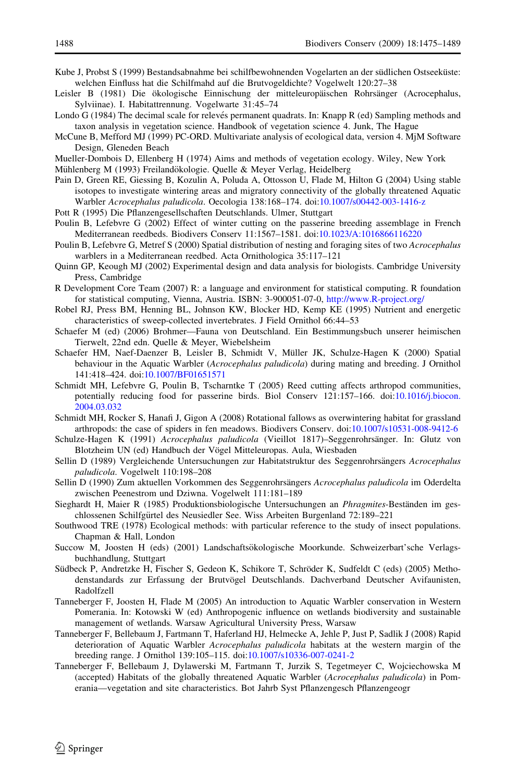- <span id="page-13-0"></span>Kube J, Probst S (1999) Bestandsabnahme bei schilfbewohnenden Vogelarten an der südlichen Ostseeküste: welchen Einfluss hat die Schilfmahd auf die Brutvogeldichte? Vogelwelt 120:27–38
- Leisler B (1981) Die ökologische Einnischung der mitteleuropäischen Rohrsänger (Acrocephalus, Sylviinae). I. Habitattrennung. Vogelwarte 31:45–74
- Londo G (1984) The decimal scale for relevés permanent quadrats. In: Knapp R (ed) Sampling methods and taxon analysis in vegetation science. Handbook of vegetation science 4. Junk, The Hague
- McCune B, Mefford MJ (1999) PC-ORD. Multivariate analysis of ecological data, version 4. MjM Software Design, Gleneden Beach
- Mueller-Dombois D, Ellenberg H (1974) Aims and methods of vegetation ecology. Wiley, New York
- Mühlenberg M (1993) Freilandökologie. Quelle & Meyer Verlag, Heidelberg
- Pain D, Green RE, Giessing B, Kozulin A, Poluda A, Ottosson U, Flade M, Hilton G (2004) Using stable isotopes to investigate wintering areas and migratory connectivity of the globally threatened Aquatic Warbler Acrocephalus paludicola. Oecologia 138:168–174. doi[:10.1007/s00442-003-1416-z](http://dx.doi.org/10.1007/s00442-003-1416-z)
- Pott R (1995) Die Pflanzengesellschaften Deutschlands. Ulmer, Stuttgart
- Poulin B, Lefebvre G (2002) Effect of winter cutting on the passerine breeding assemblage in French Mediterranean reedbeds. Biodivers Conserv 11:1567–1581. doi:[10.1023/A:1016866116220](http://dx.doi.org/10.1023/A:1016866116220)
- Poulin B, Lefebvre G, Metref S (2000) Spatial distribution of nesting and foraging sites of two Acrocephalus warblers in a Mediterranean reedbed. Acta Ornithologica 35:117–121
- Quinn GP, Keough MJ (2002) Experimental design and data analysis for biologists. Cambridge University Press, Cambridge
- R Development Core Team (2007) R: a language and environment for statistical computing. R foundation for statistical computing, Vienna, Austria. ISBN: 3-900051-07-0, <http://www.R-project.org/>
- Robel RJ, Press BM, Henning BL, Johnson KW, Blocker HD, Kemp KE (1995) Nutrient and energetic characteristics of sweep-collected invertebrates. J Field Ornithol 66:44–53
- Schaefer M (ed) (2006) Brohmer—Fauna von Deutschland. Ein Bestimmungsbuch unserer heimischen Tierwelt, 22nd edn. Quelle & Meyer, Wiebelsheim
- Schaefer HM, Naef-Daenzer B, Leisler B, Schmidt V, Müller JK, Schulze-Hagen K (2000) Spatial behaviour in the Aquatic Warbler (Acrocephalus paludicola) during mating and breeding. J Ornithol 141:418–424. doi:[10.1007/BF01651571](http://dx.doi.org/10.1007/BF01651571)
- Schmidt MH, Lefebvre G, Poulin B, Tscharntke T (2005) Reed cutting affects arthropod communities, potentially reducing food for passerine birds. Biol Conserv 121:157–166. doi:[10.1016/j.biocon.](http://dx.doi.org/10.1016/j.biocon.2004.03.032) [2004.03.032](http://dx.doi.org/10.1016/j.biocon.2004.03.032)
- Schmidt MH, Rocker S, Hanafi J, Gigon A (2008) Rotational fallows as overwintering habitat for grassland arthropods: the case of spiders in fen meadows. Biodivers Conserv. doi:[10.1007/s10531-008-9412-6](http://dx.doi.org/10.1007/s10531-008-9412-6)
- Schulze-Hagen K (1991) Acrocephalus paludicola (Vieillot 1817)–Seggenrohrsänger. In: Glutz von Blotzheim UN (ed) Handbuch der Vögel Mitteleuropas. Aula, Wiesbaden
- Sellin D (1989) Vergleichende Untersuchungen zur Habitatstruktur des Seggenrohrsängers Acrocephalus paludicola. Vogelwelt 110:198–208
- Sellin D (1990) Zum aktuellen Vorkommen des Seggenrohrsängers Acrocephalus paludicola im Oderdelta zwischen Peenestrom und Dziwna. Vogelwelt 111:181–189
- Sieghardt H, Maier R (1985) Produktionsbiologische Untersuchungen an *Phragmites*-Beständen im geschlossenen Schilfgürtel des Neusiedler See. Wiss Arbeiten Burgenland 72:189–221
- Southwood TRE (1978) Ecological methods: with particular reference to the study of insect populations. Chapman & Hall, London
- Succow M, Joosten H (eds) (2001) Landschaftsökologische Moorkunde. Schweizerbart'sche Verlagsbuchhandlung, Stuttgart
- Südbeck P, Andretzke H, Fischer S, Gedeon K, Schikore T, Schröder K, Sudfeldt C (eds) (2005) Methodenstandards zur Erfassung der Brutvögel Deutschlands. Dachverband Deutscher Avifaunisten, Radolfzell
- Tanneberger F, Joosten H, Flade M (2005) An introduction to Aquatic Warbler conservation in Western Pomerania. In: Kotowski W (ed) Anthropogenic influence on wetlands biodiversity and sustainable management of wetlands. Warsaw Agricultural University Press, Warsaw
- Tanneberger F, Bellebaum J, Fartmann T, Haferland HJ, Helmecke A, Jehle P, Just P, Sadlik J (2008) Rapid deterioration of Aquatic Warbler Acrocephalus paludicola habitats at the western margin of the breeding range. J Ornithol 139:105–115. doi[:10.1007/s10336-007-0241-2](http://dx.doi.org/10.1007/s10336-007-0241-2)
- Tanneberger F, Bellebaum J, Dylawerski M, Fartmann T, Jurzik S, Tegetmeyer C, Wojciechowska M (accepted) Habitats of the globally threatened Aquatic Warbler (Acrocephalus paludicola) in Pomerania—vegetation and site characteristics. Bot Jahrb Syst Pflanzengesch Pflanzengeogr